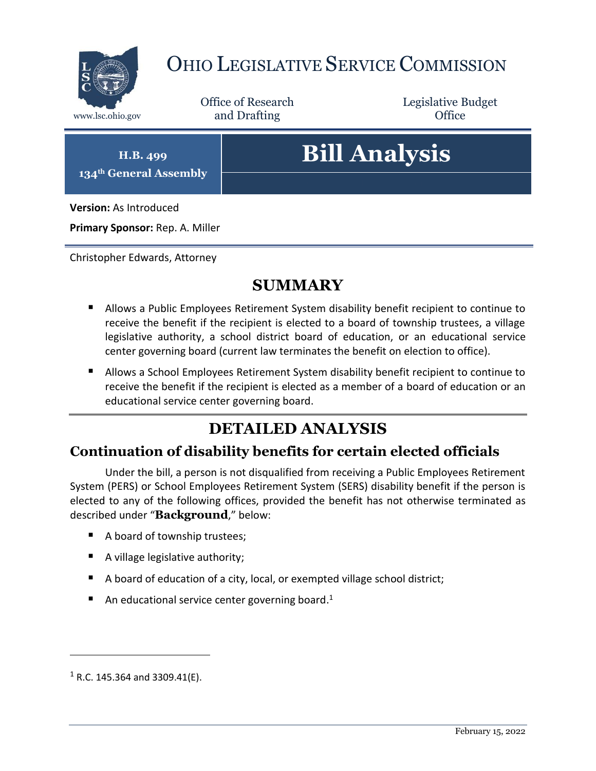

## OHIO LEGISLATIVE SERVICE COMMISSION

Office of Research www.lsc.ohio.gov **and Drafting Office** 

Legislative Budget

**H.B. 499 134th General Assembly**

# **Bill Analysis**

**Version:** As Introduced

**Primary Sponsor:** Rep. A. Miller

Christopher Edwards, Attorney

### **SUMMARY**

- Allows a Public Employees Retirement System disability benefit recipient to continue to receive the benefit if the recipient is elected to a board of township trustees, a village legislative authority, a school district board of education, or an educational service center governing board (current law terminates the benefit on election to office).
- Allows a School Employees Retirement System disability benefit recipient to continue to receive the benefit if the recipient is elected as a member of a board of education or an educational service center governing board.

## **DETAILED ANALYSIS**

#### **Continuation of disability benefits for certain elected officials**

Under the bill, a person is not disqualified from receiving a Public Employees Retirement System (PERS) or School Employees Retirement System (SERS) disability benefit if the person is elected to any of the following offices, provided the benefit has not otherwise terminated as described under "**Background**," below:

- A board of township trustees;
- A village legislative authority;
- A board of education of a city, local, or exempted village school district;
- An educational service center governing board.<sup>1</sup>

 $\overline{a}$ 

 $1$  R.C. 145.364 and 3309.41(E).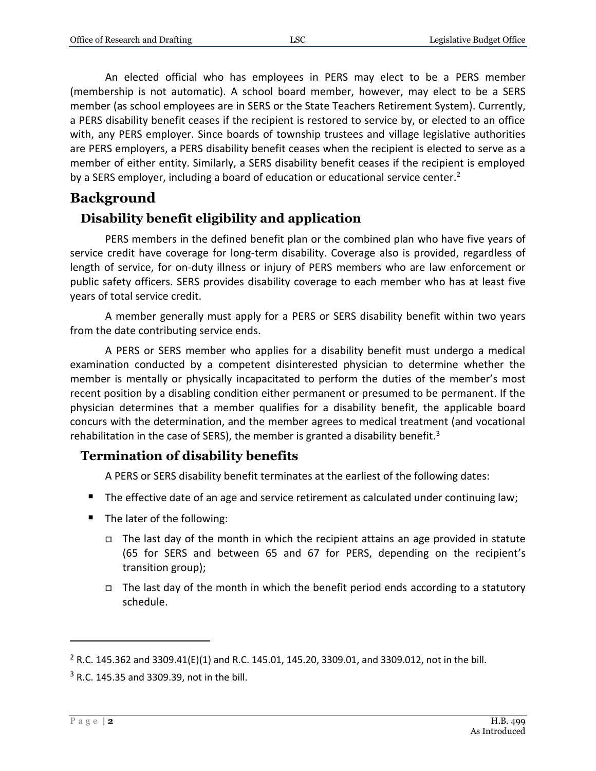An elected official who has employees in PERS may elect to be a PERS member (membership is not automatic). A school board member, however, may elect to be a SERS member (as school employees are in SERS or the State Teachers Retirement System). Currently, a PERS disability benefit ceases if the recipient is restored to service by, or elected to an office with, any PERS employer. Since boards of township trustees and village legislative authorities are PERS employers, a PERS disability benefit ceases when the recipient is elected to serve as a member of either entity. Similarly, a SERS disability benefit ceases if the recipient is employed by a SERS employer, including a board of education or educational service center.<sup>2</sup>

#### **Background**

#### **Disability benefit eligibility and application**

PERS members in the defined benefit plan or the combined plan who have five years of service credit have coverage for long-term disability. Coverage also is provided, regardless of length of service, for on-duty illness or injury of PERS members who are law enforcement or public safety officers. SERS provides disability coverage to each member who has at least five years of total service credit.

A member generally must apply for a PERS or SERS disability benefit within two years from the date contributing service ends.

A PERS or SERS member who applies for a disability benefit must undergo a medical examination conducted by a competent disinterested physician to determine whether the member is mentally or physically incapacitated to perform the duties of the member's most recent position by a disabling condition either permanent or presumed to be permanent. If the physician determines that a member qualifies for a disability benefit, the applicable board concurs with the determination, and the member agrees to medical treatment (and vocational rehabilitation in the case of SERS), the member is granted a disability benefit.<sup>3</sup>

#### **Termination of disability benefits**

A PERS or SERS disability benefit terminates at the earliest of the following dates:

- The effective date of an age and service retirement as calculated under continuing law;
- The later of the following:
	- $\Box$  The last day of the month in which the recipient attains an age provided in statute (65 for SERS and between 65 and 67 for PERS, depending on the recipient's transition group);
	- $\Box$  The last day of the month in which the benefit period ends according to a statutory schedule.

 $\overline{a}$ 

<sup>&</sup>lt;sup>2</sup> R.C. 145.362 and 3309.41(E)(1) and R.C. 145.01, 145.20, 3309.01, and 3309.012, not in the bill.

 $3$  R.C. 145.35 and 3309.39, not in the bill.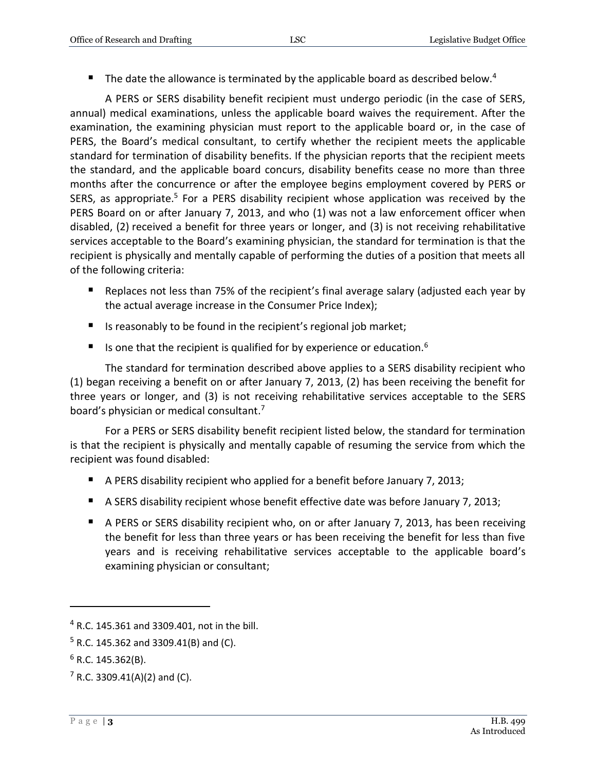The date the allowance is terminated by the applicable board as described below.<sup>4</sup>

A PERS or SERS disability benefit recipient must undergo periodic (in the case of SERS, annual) medical examinations, unless the applicable board waives the requirement. After the examination, the examining physician must report to the applicable board or, in the case of PERS, the Board's medical consultant, to certify whether the recipient meets the applicable standard for termination of disability benefits. If the physician reports that the recipient meets the standard, and the applicable board concurs, disability benefits cease no more than three months after the concurrence or after the employee begins employment covered by PERS or SERS, as appropriate.<sup>5</sup> For a PERS disability recipient whose application was received by the PERS Board on or after January 7, 2013, and who (1) was not a law enforcement officer when disabled, (2) received a benefit for three years or longer, and (3) is not receiving rehabilitative services acceptable to the Board's examining physician, the standard for termination is that the recipient is physically and mentally capable of performing the duties of a position that meets all of the following criteria:

- Replaces not less than 75% of the recipient's final average salary (adjusted each year by the actual average increase in the Consumer Price Index);
- Is reasonably to be found in the recipient's regional job market;
- Is one that the recipient is qualified for by experience or education.<sup>6</sup>

The standard for termination described above applies to a SERS disability recipient who (1) began receiving a benefit on or after January 7, 2013, (2) has been receiving the benefit for three years or longer, and (3) is not receiving rehabilitative services acceptable to the SERS board's physician or medical consultant.<sup>7</sup>

For a PERS or SERS disability benefit recipient listed below, the standard for termination is that the recipient is physically and mentally capable of resuming the service from which the recipient was found disabled:

- A PERS disability recipient who applied for a benefit before January 7, 2013;
- A SERS disability recipient whose benefit effective date was before January 7, 2013;
- A PERS or SERS disability recipient who, on or after January 7, 2013, has been receiving the benefit for less than three years or has been receiving the benefit for less than five years and is receiving rehabilitative services acceptable to the applicable board's examining physician or consultant;

 $\overline{a}$ 

<sup>4</sup> R.C. 145.361 and 3309.401, not in the bill.

 $5$  R.C. 145.362 and 3309.41(B) and (C).

 $6$  R.C. 145.362(B).

 $7$  R.C. 3309.41(A)(2) and (C).